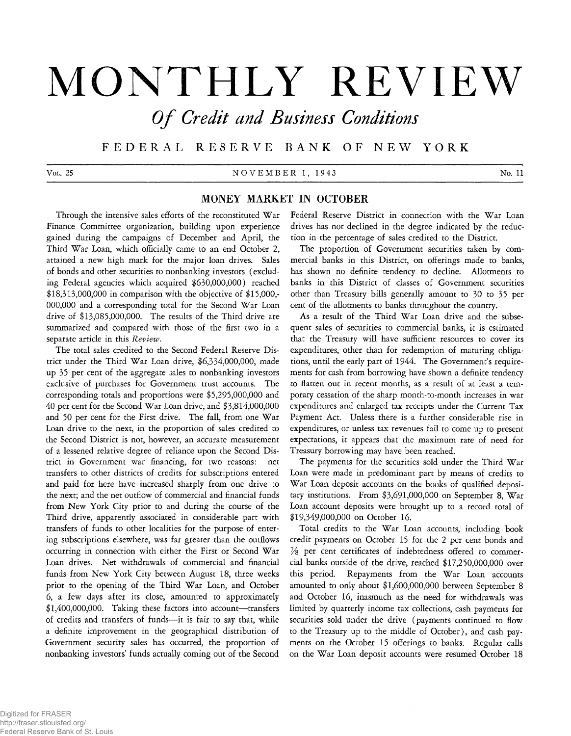# **MONTHLY REVIEW**

*O f Credit and Business Conditions*

F E D E R A L R E S E R V E B A N K OF N E W Y O R K

V ol. 25 N O V E M B E R 1, 1943 No. 11

# **MONEY MARKET IN OCTOBER**

**Through the intensive sales efforts of the reconstituted War Finance Committee organization, building upon experience gained during the campaigns of December and April, the Third War Loan, which officially came to an end October 2, attained a new high mark for the major loan drives. Sales of bonds and other securities to nonbanking investors (excluding Federal agencies which acquired \$630,000,000) reached \$18,313,000,000 in comparison with the objective of \$15,000,- 000,000 and a corresponding total for the Second War Loan drive of \$13,085,000,000. The results of the Third drive are summarized and compared with those of the first two in a separate article in this** *Review.*

**The total sales credited to the Second Federal Reserve District under the Third War Loan drive, \$6,334,000,000, made up 35 per cent of the aggregate sales to nonbanking investors exclusive of purchases for Government trust accounts. The corresponding totals and proportions were \$5,295,000,000 and 40 per cent for the Second War Loan drive, and \$3,814,000,000 and 50 per cent for the First drive. The fall, from one War Loan drive to the next, in the proportion of sales credited to the Second District is not, however, an accurate measurement of a lessened relative degree of reliance upon the Second District in Government war financing, for two reasons: net transfers to other districts of credits for subscriptions entered and paid for here have increased sharply from one drive to the next; and the net outflow of commercial and financial funds from New York City prior to and during the course of the Third drive, apparently associated in considerable part with transfers of funds to other localities for the purpose of entering subscriptions elsewhere, was far greater than the outflows occurring in connection with either the First or Second War Loan drives. Net withdrawals of commercial and financial funds from New York City between August 18, three weeks prior to the opening of the Third War Loan, and October 6, a few days after its close, amounted to approximately \$1,400,000,000. Taking these factors into account— transfers of credits and transfers of funds— it is fair to say that, while a definite improvement in the geographical distribution of Government security sales has occurred, the proportion of nonbanking investors' funds actually coming out of the Second**

**Federal Reserve District in connection with the War Loan drives has not declined in the degree indicated by the reduction in the percentage of sales credited to the District.**

**The proportion of Government securities taken by commercial banks in this District, on offerings made to banks, has shown no definite tendency to decline. Allotments to banks in this District of classes of Government securities other than Treasury bills generally amount to 30 to 35 per cent of the allotments to banks throughout the country.**

**As a result of the Third War Loan drive and the subsequent sales of securities to commercial banks, it is estimated that the Treasury will have sufficient resources to cover its expenditures, other than for redemption of maturing obliga**tions, until the early part of 1944. The Government's require**ments for cash from borrowing have shown a definite tendency to flatten out in recent months, as a result of at least a temporary cessation of the sharp month-to-month increases in war expenditures and enlarged tax receipts under the Current Tax Payment Act. Unless there is a further considerable rise in expenditures, or unless tax revenues fail to come up to present expectations, it appears that the maximum rate of need for Treasury borrowing may have been reached.**

**The payments for the securities sold under the Third War Loan were made in predominant part by means of credits to War Loan deposit accounts on the books of qualified depositary institutions. From \$3,691,000,000 on September 8, War Loan account deposits were brought up to a record total of \$19,349,000,000 on October 16.**

**Total credits to the War Loan accounts, including book credit payments on October 15 for the 2 per cent bonds and**  $\frac{1}{2}$  per cent certificates of indebtedness offered to commer**cial banks outside of the drive, reached \$17,250,000,000 over this period. Repayments from the War Loan accounts amounted to only about \$1,600,000,000 between September 8 and October 16, inasmuch as the need for withdrawals was limited by quarterly income tax collections, cash payments for securities sold under the drive (payments continued to flow to the Treasury up to the middle of October), and cash payments on the October 15 offerings to banks. Regular calls on the War Loan deposit accounts were resumed October 18**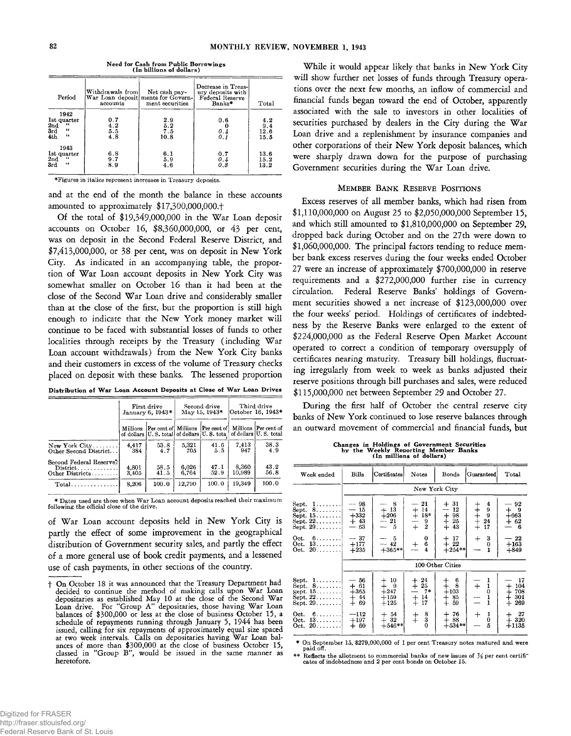| Period                                                                                             | Withdrawals from!<br>accounts | Net cash pay-<br>War Loan deposit ments for Govern-<br>ment securities | Decrease in Treas-<br>ury deposits with<br>Federal Reserve<br>Banks* | Total                      |
|----------------------------------------------------------------------------------------------------|-------------------------------|------------------------------------------------------------------------|----------------------------------------------------------------------|----------------------------|
| 1942<br>1st quarter<br>$\bullet\bullet$<br>$_{3rd}^{2nd}$<br>$\bullet\bullet$<br>4th<br>$\epsilon$ | 0.7<br>4.2<br>5.5<br>4.8      | 2.9<br>5.2<br>7.5<br>10.8                                              | 0.6<br>0.4<br>0.1                                                    | 4.2<br>9.4<br>12.6<br>15.5 |
| 1943<br>1st quarter<br>2nd<br>44<br>3rd<br>66                                                      | 6.8<br>9.7<br>8.9             | 6.1<br>5.9<br>4.6                                                      | 0.7<br>0.4<br>03                                                     | 13.6<br>15.2<br>13.2       |

Need for Cash from Public Borrowings (In billions of dollars)

**^Figures in italics represent increases in Treasury deposits.**

**and at the end of the month the balance in these accounts amounted to approximately \$17,300,000,000.+**

**Of the total of \$19,349,000,000 in the War Loan deposit accounts on October 16, \$8,360,000,000, or 43 per cent, was on deposit in the Second Federal Reserve District, and \$7,413,000,000, or 38 per cent, was on deposit in New York City. As indicated in an accompanying table, the proportion of War Loan account deposits in New York City was somewhat smaller on October 16 than it had been at the close of the Second War Loan drive and considerably smaller than at the close of the first, but the proportion is still high enough to indicate that the New York money market will continue to be faced with substantial losses of funds to other localities through receipts by the Treasury (including War Loan account withdrawals) from the New York City banks and their customers in excess of the volume of Treasury checks placed on deposit with these banks. The lessened proportion**

Distribution of War Loan Account Deposits at Close of War Loan Drives

|                                                                                  | First drive<br>January 6, 1943* |                                                                                                 | Second drive<br>May 15, 1943* |              | Third drive<br> October 16. 1943* |                        |
|----------------------------------------------------------------------------------|---------------------------------|-------------------------------------------------------------------------------------------------|-------------------------------|--------------|-----------------------------------|------------------------|
|                                                                                  | Millions                        | <b>Per cent of Millions</b><br>of dollars U.S. total of dollars U.S. tota of dellars U.S. total |                               | Per cent of  |                                   | Millions   Per cent of |
| $New York City \ldots \ldots$<br>Other Second District                           | 4,417<br>384                    | 53.8<br>4.7                                                                                     | 5,321<br>705                  | 41.6<br>5.5  | 7,413<br>947                      | 38.3<br>4.9            |
| Second Federal Reserve?<br>$Distribt, \ldots, \ldots, \ldots$<br>Other Districts | 4,801<br>3.405                  | 58.5<br>41.5                                                                                    | 6,026<br>6.764                | 47.1<br>52.9 | 8.360<br>10.989                   | 43.2<br>56.8           |
|                                                                                  | 8.206                           | 100.0                                                                                           | 12.790                        | 100.0        | 19.349                            | 100.0                  |

**\* Dates used are those when War Loan account deposits reached their maximum following the official close of the drive.**

**of War Loan account deposits held in New York City is partly the effect of some improvement in the geographical distribution of Government security sales, and partly the effect of a more general use of book credit payments, and a lessened use of cash payments, in other sections of the country.**

**While it would appear likely that banks in New York City will show further net losses of funds through Treasury operations over the next few months, an inflow of commercial and financial funds began toward the end of October, apparently associated with the sale to investors in other localities of securities purchased by dealers in the City during the War Loan drive and a replenishment by insurance companies and other corporations of their New York deposit balances, which were sharply drawn down for the purpose of purchasing Government securities during the War Loan drive.**

#### **M ember Ba n k Reserve Positions**

**Excess reserves of all member banks, which had risen from \$1,110,000,000 on August 25 to \$2,050,000,000 September 15, and which still amounted to \$1,810,000,000 on September 29, dropped back during October and on the 27th were down to \$1,060,000,000. The principal factors tending to reduce member bank excess reserves during the four weeks ended October 27 were an increase of approximately \$700,000,000 in reserve requirements and a \$272,000,000 further rise in currency circulation. Federal Reserve Banks' holdings of Government securities showed a net increase of \$123,000,000 over the four weeks' period. Holdings of certificates of indebtedness by the Reserve Banks were enlarged to the extent of \$224,000,000 as the Federal Reserve Open Market Account operated to correct a condition of temporary oversupply of certificates nearing maturity. Treasury bill holdings, fluctuating irregularly from week to week as banks adjusted their reserve positions through bill purchases and sales, were reduced \$115,000,000 net between September 29 and October 27.**

**During the first half of October the central reserve city banks of New York continued to lose reserve balances through an outward movement of commercial and financial funds, but**

Changes in Holdings of Government Securities by the Weekly Reporting Member Banks (In millions of dollars)

| Week ended                                                                                                                                                                                 | Bills                                                                            | Certificates                                                             | Notes                                                                                       | Bonds                                                                                                         | <b>Guaranteed</b>                                                                        | Total                                                                                  |  |  |  |
|--------------------------------------------------------------------------------------------------------------------------------------------------------------------------------------------|----------------------------------------------------------------------------------|--------------------------------------------------------------------------|---------------------------------------------------------------------------------------------|---------------------------------------------------------------------------------------------------------------|------------------------------------------------------------------------------------------|----------------------------------------------------------------------------------------|--|--|--|
|                                                                                                                                                                                            |                                                                                  | New York City                                                            |                                                                                             |                                                                                                               |                                                                                          |                                                                                        |  |  |  |
| ${\rm Sept.}$<br>1.<br>Sept. 8<br>Sept. 15.<br>$S$ ept. $22$<br>$\operatorname{Sept.}\nolimits 29\ldots\ldots$ .                                                                           | - 98<br>15<br>$+332$<br>$+43$<br>63<br>—                                         | 8<br>-13<br>$+$<br>$+206$<br>$-21$<br>5                                  | 21<br>14<br>$+$<br>$+$<br>$+$<br>$18*$<br>9<br>$\overline{2}$                               | $+31$<br>12<br>---<br>$\ddagger$<br>98<br>25<br>$+$<br>43                                                     | 4<br>キキキキキ<br>$\overline{9}$<br>24<br>17                                                 | 92<br>- 9<br>┿<br>$+663$<br>62<br>┿<br>6                                               |  |  |  |
| Oct.<br>6.<br>Oct.<br>13<br>$20$<br>Oct.                                                                                                                                                   | $-37$<br>$+177$<br>$+235$                                                        | 5<br>$-42$<br>$+365**$                                                   | 0<br>6<br>┿<br>$\overline{\mathbf{4}}$                                                      | 17<br>┿<br>$+22$<br>$+254**$                                                                                  | 3<br>$^{+}$<br>0<br>1                                                                    | -22<br>$+163$<br>$+849$                                                                |  |  |  |
|                                                                                                                                                                                            | 100 Other Cities                                                                 |                                                                          |                                                                                             |                                                                                                               |                                                                                          |                                                                                        |  |  |  |
| Sept.<br>1.<br>Sept $8, \ldots$<br>$[{\rm sept. 15. \dots . \dots}]$<br>Sept. 22.<br>Sept. 29.<br>Oct.<br>$6. \ldots \ldots$<br>$13, \ldots \ldots$<br>Oct.<br>$20. \ldots \ldots$<br>Oct. | 56<br>$+61$<br>$+365$<br>44<br>$^+$<br>69<br>$^{+}$<br>$-112$<br>$+197$<br>$+60$ | 10<br>┿<br>9<br>$+247$<br>$+159$<br>$+125$<br>$+54$<br>$+32$<br>$+546**$ | 24<br>$^{+}_{+}$<br>$25\,$<br>$7*$<br>$\ddagger$<br>14<br>17<br>$\frac{8}{3}$<br>$\ddagger$ | 6<br>┿<br>∔<br>8<br>$+103$<br>85<br>┿<br>$^{+}$<br>59<br>76<br>$\hspace{0.1mm} +$<br>88<br>$^{+}$<br>$+534**$ | 1<br>$\overline{+}$<br>$\frac{1}{0}$<br>1<br>$\mathbf{1}$<br>$\mathrm{+}$<br>1<br>0<br>5 | 17<br>104<br>$\,+\,$<br>708<br>$^\dagger$<br>301<br>269<br>$+$<br>27<br>320<br>$+1135$ |  |  |  |

**\* On September 15, \$279,000,000 of 1 per cent Treasury notes matured and were paid off.**

**\*\* Reflects the allotment to commercial banks of new issues of** *7A* **per cent certifi" cates of indebtedness and** 2 **per cent bonds on October 15.**

**t On October 18 it was announced that the Treasury Department had decided to continue the method of making calls upon War Loan depositaries as established May 10 at the close of the Second War Loan drive. For "Group A" depositaries, those having War Loan balances of \$300,000 or less at the close of business October 15, a schedule of repayments running through January 5, 1944 has been issued, calling for six repayments of approximately equal size spaced at two week intervals. Calls on depositaries having War Loan balances of more than \$300,000 at the close of business October 15, classed in "Group B", would be issued in the same manner as heretofore.**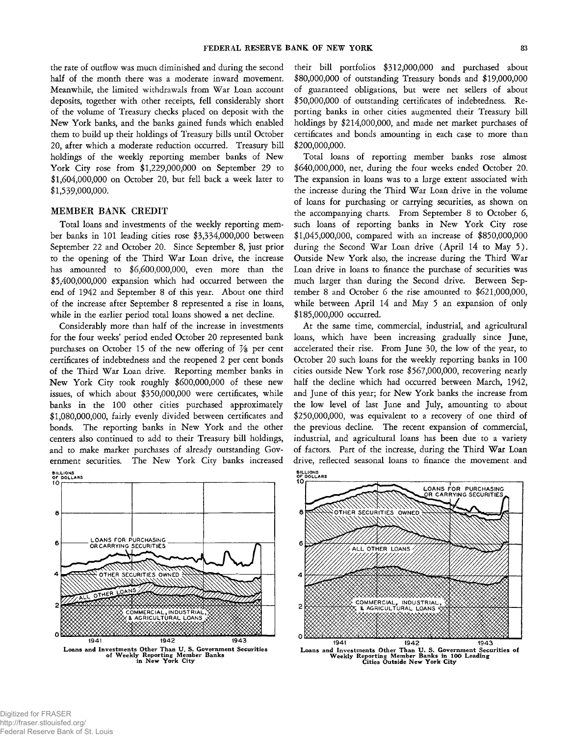**the rate of outflow was much diminished and during the second half of the month there was a moderate inward movement. Meanwhile, the limited withdrawals from War Loan account deposits, together with other receipts, fell considerably short of the volume of Treasury checks placed on deposit with the New York banks, and the banks gained funds which enabled them to build up their holdings of Treasury bills until October 20, after which a moderate reduction occurred. Treasury bill holdings of the weekly reporting member banks of New York City rose from \$1,229,000,000 on September 29 to \$1,604,000,000 on October 20, but fell back a week later to \$1,539,000,000.**

## **MEMBER BANK CREDIT**

**Total loans and investments of the weekly reporting member banks in 101 leading cities rose \$3,334,000,000 between September 22 and October 20. Since September 8, just prior to the opening of the Third War Loan drive, the increase has amounted to \$6,600,000,000, even more than the \$5,400,000,000 expansion which had occurred between the end of 1942 and September 8 of this year. About one third of the increase after September 8 represented a rise in loans, while in the earlier period total loans showed a net decline.**

**Considerably more than half of the increase in investments for the four weeks' period ended October 20 represented bank purchases on October 15 of the new offering of** *Vs* **per cent certificates of indebtedness and the reopened 2 per cent bonds of the Third War Loan drive. Reporting member banks in New York City took roughly \$600,000,000 of these new issues, of which about \$350,000,000 were certificates, while banks in the 100 other cities purchased approximately \$1,080,000,000, fairly evenly divided between certificates and bonds. The reporting banks in New York and the other centers also continued to add to their Treasury bill holdings, and to make market purchases of already outstanding Government securities. The New York City banks increased BILLIONS OF DOLLARS**

**10|------------------------------------------------------------------------------------- 8 -------------------------------------------------------------------------------------** OANS FOR PURCHASING 6 OR CARRYING SECURITIES OTHER SECURITIES OWNED LOANS OTHER COMMERCIAL, INDI<br>< AGRICULTURAL **INDUSTRIAL 1941 1942 1943 Loans and Investments Other Thau U. S. Government Securities of Weekly Reporting Member Banks in New York City**

**their bill portfolios \$312,000,000 and purchased about \$80,000,000 of outstanding Treasury bonds and \$19,000,000 of guaranteed obligations, but were net sellers of about \$50,000,000 of outstanding certificates of indebtedness. Reporting banks in other cities augmented their Treasury bill holdings by \$214,000,000, and made net market purchases of certificates and bonds amounting in each case to more than \$200,000,000.**

**Total loans of reporting member banks rose almost \$640,000,000, net, during the four weeks ended October 20. The expansion in loans was to a large extent associated with the increase during the Third War Loan drive in the volume of loans for purchasing or carrying securities, as shown on the accompanying charts. From September 8 to October 6, such loans of reporting banks in New York City rose \$1,045,000,000, compared with an increase of \$850,000,000 during the Second War Loan drive (April 14 to May 5). Outside New York also, the increase during the Third War Loan drive in loans to finance the purchase of securities was much larger than during the Second drive. Between September 8 and October 6 the rise amounted to \$621,000,000, while between April 14 and May 5 an expansion of only \$185,000,000 occurred.**

**At the same time, commercial, industrial, and agricultural loans, which have been increasing gradually since June, accelerated their rise. From June 30, the low of the year, to October 20 such loans for the weekly reporting banks in 100 cities outside New York rose \$567,000,000, recovering nearly half the decline which had occurred between March, 1942, and June of this year; for New York banks the increase from the low level of last June and July, amounting to about \$250,000,000, was equivalent to a recovery of one third of the previous decline. The recent expansion of commercial, industrial, and agricultural loans has been due to a variety of factors. Part of the increase, during the Third War Loan drive, reflected seasonal loans to finance the movement and**

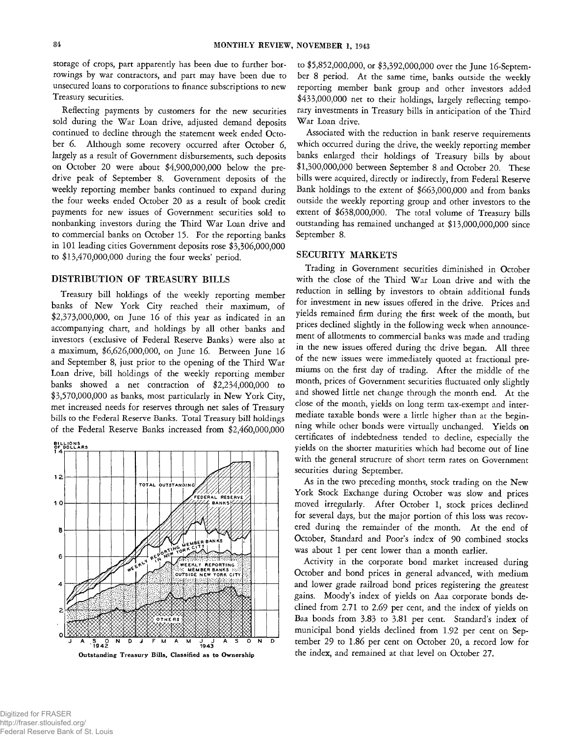**storage of crops, part apparently has been due to further borrowings by war contractors, and part may have been due to unsecured loans to corporations to finance subscriptions to new Treasury securities.**

**Reflecting payments by customers for the new securities sold during the War Loan drive, adjusted demand deposits continued to decline through the statement week ended October 6. Although some recovery occurred after October 6, largely as a result of Government disbursements, such deposits on October 20 were about \$4,900,000,000 below the predrive peak of September 8. Government deposits of the weekly reporting member banks continued to expand during the four weeks ended October 20 as a result of book credit payments for new issues of Government securities sold to nonbanking investors during the Third War Loan drive and to commercial banks on October 15. For the reporting banks in 101 leading cities Government deposits rose \$3,306,000,000 to \$13,470,000,000 during the four weeks' period.**

## **DISTRIBUTION OF TREASURY BILLS**

**Treasury bill holdings of the weekly reporting member banks of New York City reached their maximum, of \$2,373,000,000, on June 16 of this year as indicated in an accompanying chart, and holdings by all other banks and investors (exclusive of Federal Reserve Banks) were also at a maximum, \$6,626,000,000, on June 16. Between June 16 and September 8, just prior to the opening of the Third War Loan drive, bill holdings of the weekly reporting member banks showed a net contraction of \$2,234,000,000 to \$3,570,000,000 as banks, most particularly in New York City, met increased needs for reserves through net sales of Treasury bills to the Federal Reserve Banks. Total Treasury bill holdings of the Federal Reserve Banks increased from \$2,460,000,000**



**to \$5,852,000,000, or \$3,392,000,000 over the June 16-September 8 period. At the same time, banks outside the weekly reporting member bank group and other investors added \$433,000,000 net to their holdings, largely reflecting temporary investments in Treasury bills in anticipation of the Third War Loan drive.**

**Associated with the reduction in bank reserve requirements which occurred during the drive, the weekly reporting member banks enlarged their holdings of Treasury bills by about \$1,300,000,000 between September 8 and October 20. These bills were acquired, directly or indirectly, from Federal Reserve Bank holdings to the extent of \$663,000,000 and from banks outside the weekly reporting group and other investors to the extent of \$638,000,000. The total volume of Treasury bills outstanding has remained unchanged at \$13,000,000,000 since September 8.**

# **SECURITY MARKETS**

**Trading in Government securities diminished in October with the close of the Third War Loan drive and with the reduction in selling by investors to obtain additional funds for investment in new issues offered in the drive. Prices and yields remained firm during the first week of the month, but prices declined slightly in the following week when announcement of allotments to commercial banks was made and trading in the new issues offered during the drive began. All three of the new issues were immediately quoted at fractional premiums on the first day of trading. After the middle of the month, prices of Government securities fluctuated only slightly and showed little net change through the month end. At the close of the month, yields on long term tax-exempt and intermediate taxable bonds were a little higher than at the beginning while other bonds were virtually unchanged. Yields on certificates of indebtedness tended to decline, especially the yields on the shorter maturities which had become out of line with the general structure of short term rates on Government securities during September.**

**As in the two preceding months, stock trading on the New York Stock Exchange during October was slow and prices moved irregularly. After October 1, stock prices declined for several days, but the major portion of this loss was recovered during the remainder of the month. At the end of October, Standard and Poor's index of 90 combined stocks was about 1 per cent lower than a month earlier.**

**Activity in the corporate bond market increased during October and bond prices in general advanced, with medium and lower grade railroad bond prices registering the greatest gains. Moody's index of yields on Aaa corporate bonds declined from 2.71 to 2.69 per cent, and the index of yields on Baa bonds from 3.83 to 3.81 per cent. Standard's index of municipal bond yields declined from 1.92 per cent on September 29 to 1.86 per cent on October 20, a record low for the index, and remained at that level on October 27.**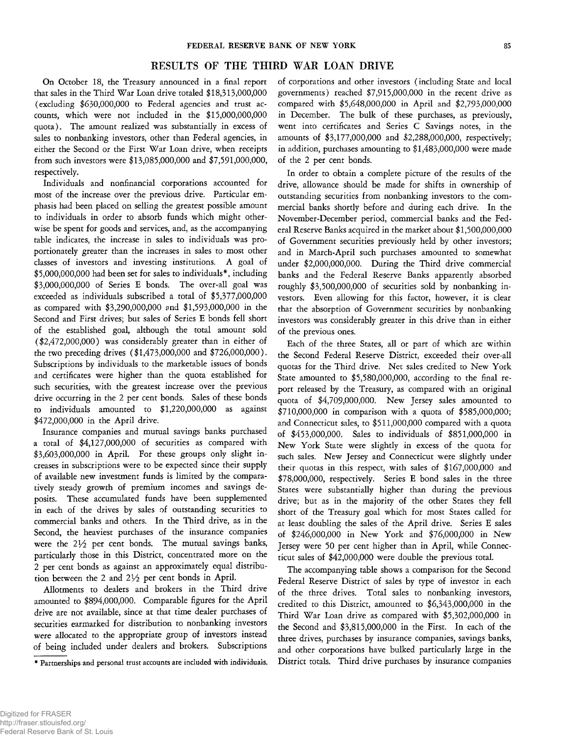# **RESULTS OF THE THIRD WAR LOAN DRIVE**

**On October 18, the Treasury announced in a final report that sales in the Third War Loan drive totaled \$18,313,000,000 (excluding \$630,000,000 to Federal agencies and trust accounts, which were not included in the \$15,000,000,000 quota). The amount realized was substantially in excess of sales to nonbanking investors, other than Federal agencies, in either the Second or the First War Loan drive, when receipts from such investors were \$13,085,000,000 and \$7,591,000,000, respectively.**

**Individuals and nonfinancial corporations accounted for most of the increase over the previous drive. Particular emphasis had been placed on selling the greatest possible amount to individuals in order to absorb funds which might otherwise be spent for goods and services, and, as the accompanying table indicates, the increase in sales to individuals was proportionately greater than the increases in sales to most other classes of investors and investing institutions. A goal of \$5,000,000,000 had been set for sales to individuals\*, including \$3,000,000,000 of Series E bonds. The over-all goal was exceeded as individuals subscribed a total of \$5,377,000,000 as compared with \$3,290,000,000 and \$1,593,000,000 in the Second and First drives; but sales of Series E bonds fell short of the established goal, although the total amount sold (\$2,472,000,000) was considerably greater than in either of the two preceding drives (\$1,473,000,000 and \$726,000,000). Subscriptions by individuals to the marketable issues of bonds and certificates were higher than the quota established for such securities, with the greatest increase over the previous drive occurring in the 2 per cent bonds. Sales of these bonds to individuals amounted to \$1,220,000,000 as against \$472,000,000 in the April drive.**

**Insurance companies and mutual savings banks purchased a total of \$4,127,000,000 of securities as compared with \$3,603,000,000 in April. For these groups only slight increases in subscriptions were to be expected since their supply of available new investment funds is limited by the comparatively steady growth of premium incomes and savings deposits. These accumulated funds have been supplemented in each of the drives by sales of outstanding securities to commercial banks and others. In the Third drive, as in the Second, the heaviest purchases of the insurance companies** were the  $2\frac{1}{2}$  per cent bonds. The mutual savings banks, **particularly those in this District, concentrated more on the 2 per cent bonds as against an approximately equal distribution between the 2 and 2^2 per cent bonds in April.**

**Allotments to dealers and brokers in the Third drive amounted to \$894,000,000. Comparable figures for the April drive are not available, since at that time dealer purchases of securities earmarked for distribution to nonbanking investors were allocated to the appropriate group of investors instead of being included under dealers and brokers. Subscriptions** **of corporations and other investors (including State and local governments) reached \$7,915,000,000 in the recent drive as compared with \$5,648,000,000 in April and \$2,793,000,000 in December. The bulk of these purchases, as previously, went into certificates and Series C Savings notes, in the amounts of \$3,177,000,000 and \$2,288,000,000, respectively; in addition, purchases amounting to \$1,483,000,000 were made of the 2 per cent bonds.**

**In order to obtain a complete picture of the results of the drive, allowance should be made for shifts in ownership of outstanding securities from nonbanking investors to the commercial banks shortly before and during each drive. In the November-December period, commercial banks and the Federal Reserve Banks acquired in the market about \$1,500,000,000 of Government securities previously held by other investors; and in March-April such purchases amounted to somewhat under \$2,000,000,000. During the Third drive commercial banks and the Federal Reserve Banks apparently absorbed roughly \$3,500,000,000 of securities sold by nonbanking investors. Even allowing for this factor, however, it is clear that the absorption of Government securities by nonbanking investors was considerably greater in this drive than in either of the previous ones.**

**Each of the three States, all or part of which are within the Second Federal Reserve District, exceeded their over-all quotas for the Third drive. Net sales credited to New York State amounted to \$5,580,000,000, according to the final report released by the Treasury, as compared with an original quota of \$4,709,000,000. New Jersey sales amounted to \$710,000,000 in comparison with a quota of \$585,000,000; and Connecticut sales, to \$511,000,000 compared with a quota of \$453,000,000. Sales to individuals of \$851,000,000 in New York State were slightly in excess of the quota for such sales. New Jersey and Connecticut were slightly under their quotas in this respect, with sales of \$167,000,000 and \$78,000,000, respectively. Series E bond sales in the three States were substantially higher than during the previous drive; but as in the majority of the other States they fell short of the Treasury goal which for most States called for at least doubling the sales of the April drive. Series E sales of \$246,000,000 in New York and \$76,000,000 in New Jersey were 50 per cent higher than in April, while Connecticut sales of \$42,000,000 were double the previous total.**

**The accompanying table shows a comparison for the Second Federal Reserve District of sales by type of investor in each of the three drives. Total sales to nonbanking investors, credited to this District, amounted to \$6,343,000,000 in the Third War Loan drive as compared with \$5,302,000,000 in the Second and \$3,815,000,000 in the First. In each of the three drives, purchases by insurance companies, savings banks, and other corporations have bulked particularly large in the District totals. Third drive purchases by insurance companies**

<sup>\*</sup> Partnerships and personal trust accounts are included with individuals.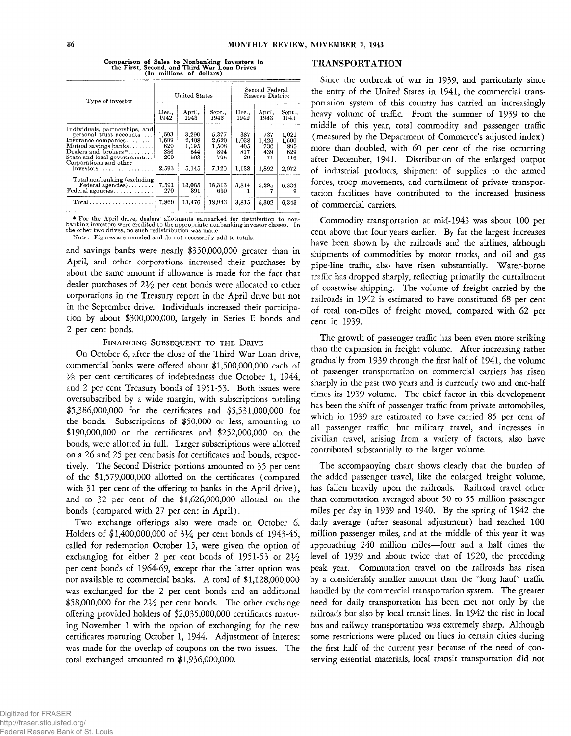| Type of investor                                                                                                                                                                                                              |                                              | United States                                  |                                                | Second Federal<br>Reserve District        |                                           |                                              |
|-------------------------------------------------------------------------------------------------------------------------------------------------------------------------------------------------------------------------------|----------------------------------------------|------------------------------------------------|------------------------------------------------|-------------------------------------------|-------------------------------------------|----------------------------------------------|
|                                                                                                                                                                                                                               | Dec.,<br>1942                                | April,<br>1943                                 | Sept<br>1943                                   | Dec.<br>1942                              | April,<br>1943                            | Sept.,<br>1943                               |
| Individuals, partnerships, and<br>personal trust accounts<br>Insurance companies<br>Mutual savings banks<br>Dealers and brokers*<br>State and local governments<br>Corporations and other<br>$investors \ldots \ldots \ldots$ | 1,593<br>1.699<br>620<br>886<br>200<br>2,593 | 3,290<br>2.408<br>1,195<br>544<br>503<br>5.145 | 5,377<br>2.620<br>1.508<br>894<br>795<br>7.120 | 387<br>1,038<br>405<br>817<br>29<br>1.138 | 737<br>1.426<br>730<br>439<br>71<br>1,892 | 1.021<br>1,600<br>895<br>629<br>116<br>2,072 |
| Total nonbanking (excluding)<br>$Federal\ agencies) \ldots \ldots$<br>Federal agencies                                                                                                                                        | 7.591<br>270                                 | 13.085<br>391                                  | 18,313<br>630                                  | 3,814                                     | 5.295                                     | 6.334<br>9                                   |
| $Total \dots \dots \dots \dots \dots$                                                                                                                                                                                         | 7,860                                        | 13,476                                         | 18,943                                         | 3,815                                     | 5.302                                     | 6.343                                        |

**Comparison of Sales to Nonbanking Investors in the First, Second, and Third War Loan Drives (In millions of dollars)**

\* For the April drive, dealers' allotments earmarked for distribution to non-<br>banking investors were credited to the appropriate nonbanking investor classes. In<br>the other two drives, no such redistribution was made.

Note: Figures are rounded and do not necessarily add to totals.

**and savings banks were nearly \$350,000,000 greater than in April, and other corporations increased their purchases by about the same amount if allowance is made for the fact that dealer purchases of** *IVz* **per cent bonds were allocated to other corporations in the Treasury report in the April drive but not in the September drive. Individuals increased their participation by about \$300,000,000, largely in Series E bonds and 2 per cent bonds.**

### FINANCING SUBSEQUENT TO THE DRIVE

**On October 6, after the close of the Third War Loan drive, commercial banks were offered about \$1,500,000,000 each of** *Vs* **per cent certificates of indebtedness due October 1, 1944, and 2 per cent Treasury bonds of 1951-53. Both issues were oversubscribed by a wide margin, with subscriptions totaling \$5,386,000,000 for the certificates and \$5,531,000,000 for the bonds. Subscriptions of \$50,000 or less, amounting to \$190,000,000 on the certificates and \$252,000,000 on the bonds, were allotted in full. Larger subscriptions were allotted on a 26 and 25 per cent basis for certificates and bonds, respectively. The Second District portions amounted to 35 per cent of the \$1,579,000,000 allotted on the certificates (compared with 31 per cent of the offering to banks in the April drive), and to 32 per cent of the \$1,626,000,000 allotted on the bonds (compared with 27 per cent in April).**

**Two exchange offerings also were made on October 6. Holders of \$1,400,000,000 of 3***Va* **per cent bonds of 1943-45, called for redemption October 15, were given the option of exchanging for either 2 per cent bonds of 1951-53 or** *IVz* **per cent bonds of 1964-69, except that the latter option was not available to commercial banks. A total of \$1,128,000,000 was exchanged for the 2 per cent bonds and an additional \$58,000,000 for the** *2Vi* **per cent bonds. The other exchange offering provided holders of \$2,035,000,000 certificates maturing November 1 with the option of exchanging for the new certificates maturing October 1, 1944. Adjustment of interest was made for the overlap of coupons on the two issues. The total exchanged amounted to \$1,936,000,000.**

## **TRANSPORTATION**

**Since the outbreak of war in 1939, and particularly since the entry of the United States in 1941, the commercial transportation system of this country has carried an increasingly heavy volume of traffic. From the summer of 1939 to the middle of this year, total commodity and passenger traffic (measured by the Department of Commerce's adjusted index) more than doubled, with 60 per cent of the rise occurring after December, 1941. Distribution of the enlarged output of industrial products, shipment of supplies to the armed forces, troop movements, and curtailment of private transportation facilities have contributed to the increased business of commercial carriers.**

**Commodity transportation at mid-1943 was about 100 per cent above that four years earlier. By far the largest increases have been shown by the railroads and the airlines, although shipments of commodities by motor trucks, and oil and gas pipe-line traffic, also have risen substantially. Water-borne traffic has dropped sharply, reflecting primarily the curtailment of coastwise shipping. The volume of freight carried by the railroads in 1942 is estimated to have constituted 68 per cent of total ton-miles of freight moved, compared with 62 per cent in 1939.**

**The growth of passenger traffic has been even more striking than the expansion in freight volume. After increasing rather gradually from 1939 through the first half of 1941, the volume of passenger transportation on commercial carriers has risen sharply in the past two years and is currently two and one-half times its 1939 volume. The chief factor in this development has been the shift of passenger traffic from private automobiles, which in 1939 are estimated to have carried 85 per cent of all passenger traffic; but military travel, and increases in civilian travel, arising from a variety of factors, also have contributed substantially to the larger volume.**

**The accompanying chart shows clearly that the burden of the added passenger travel, like the enlarged freight volume, has fallen heavily upon the railroads. Railroad travel other than commutation averaged about 50 to 55 million passenger miles per day in 1939 and 1940. By the spring of 1942 the daily average (after seasonal adjustment) had reached 100 million passenger miles, and at the middle of this year it was approaching 240 million miles— four and a half times the level of 1939 and about twice that of 1920, the preceding peak year. Commutation travel on the railroads has risen by a considerably smaller amount than the "long haul" traffic handled by the commercial transportation system. The greater need for daily transportation has been met not only by the railroads but also by local transit lines. In 1942 the rise in local bus and railway transportation was extremely sharp. Although some restrictions were placed on lines in certain cities during the first half of the current year because of the need of conserving essential materials, local transit transportation did not**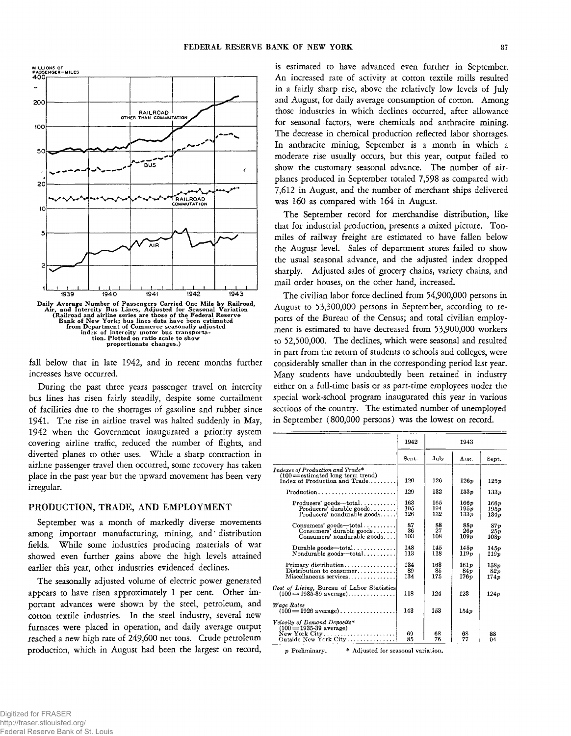

**fall below that in late 1942, and in recent months further increases have occurred.**

**During the past three years passenger travel on intercity bus lines has risen fairly steadily, despite some curtailment of facilities due to the shortages of gasoline and rubber since 1941. The rise in airline travel was halted suddenly in May, 1942 when the Government inaugurated a priority system covering airline traffic, reduced the number of flights, and diverted planes to other uses. While a sharp contraction in airline passenger travel then occurred, some recovery has taken place in the past year but the upward movement has been very irregular.**

# **PRODUCTION, TRADE, AND EMPLOYMENT**

**September was a month of markedly diverse movements among important manufacturing, mining, and\* distribution fields. While some industries producing materials of war showed even further gains above the high levels attained earlier this year, other industries evidenced declines.**

**The seasonally adjusted volume of electric power generated appears to have risen approximately 1 per cent. Other important advances were shown by the steel, petroleum, and cotton textile industries. In the steel industry, several new furnaces were placed in operation, and daily average output reached a new high rate of 249,600 net tons. Crude petroleum production, which in August had been the largest on record,** **is estimated to have advanced even further in September. An increased rate of activity at cotton textile mills resulted in a fairly sharp rise, above the relatively low levels of July and August, for daily average consumption of cotton. Among those industries in which declines occurred, after allowance for seasonal factors, were chemicals and anthracite mining. The decrease in chemical production reflected labor shortages. In anthracite mining, September is a month in which a moderate rise usually occurs, but this year, output failed to show the customary seasonal advance. The number of airplanes produced in September totaled 7,598 as compared with 7,612 in August, and the number of merchant ships delivered was 160 as compared with 164 in August.**

**The September record for merchandise distribution, like that for industrial production, presents a mixed picture. Tonmiles of railway freight are estimated to have fallen below the August level. Sales of department stores failed to show the usual seasonal advance, and the adjusted index dropped sharply. Adjusted sales of grocery chains, variety chains, and mail order houses, on the other hand, increased.**

**The civilian labor force declined from 54,900,000 persons in August to 53,300,000 persons in September, according to reports of the Bureau of the Census; and total civilian employment is estimated to have decreased from 53,900,000 workers to 52,500,000. The declines, which were seasonal and resulted in part from the return of students to schools and colleges, were considerably smaller than in the corresponding period last year. Many students have undoubtedly been retained in industry either on a full-time basis or as part-time employees under the special work-school program inaugurated this year in various sections of the country. The estimated number of unemployed in September (800,000 persons) was the lowest on record.**

|                                                                                                                                | 1942              | 1943              |                                      |                       |
|--------------------------------------------------------------------------------------------------------------------------------|-------------------|-------------------|--------------------------------------|-----------------------|
|                                                                                                                                | Sept.             | July              | Aug.                                 | Sept.                 |
| $\boldsymbol{I}$ ndexes of Production and Trade $^*$<br>$(100 =$ estimated long term trend)<br>$index of Production and Trade$ | 120               | 126               | 126p                                 | 125p                  |
| $Production \dots \dots \dots \dots \dots \dots \dots \dots \dots$                                                             | 129               | 132               | 133p                                 | 133 <sub>v</sub>      |
| $Producers' goods - total$<br>Producers' durable goods<br>Producers' nondurable goods                                          | 163<br>195<br>126 | 165<br>194<br>132 | $166\nu$<br>195 <sub>p</sub><br>133p | 166p<br>195p<br>134 p |
| $Consumers'$ goods—total<br>Consumers' durable goods<br>Consumers' nondurable goods                                            | 87<br>36<br>103   | 88<br>27<br>108   | <b>88p</b><br>26p<br>109p            | 87 p<br>25p<br>108p   |
| Durable goods—total<br>Nondurable goods—total                                                                                  | 148<br>113        | 145<br>118        | 145 v<br>119 <sub>v</sub>            | 145p<br>119p          |
| Primary distribution<br>Distribution to consumer<br>Miscellaneous services                                                     | 134<br>89<br>134  | 163<br>85<br>175  | 161p<br><b>84p</b><br>176 v          | 158p<br>82p<br>174p   |
| Cost of Living, Bureau of Labor Statistics<br>$(100 = 1935-39$ average)                                                        | 118               | 124               | 123                                  | 124p                  |
| Wage Rates<br>$(100 = 1926 \text{ average}) \dots \dots \dots \dots \dots$                                                     | 143               | 153               | 154p                                 |                       |
| Velocity of Demand Deposits*<br>$(100 = 1935 - 39$ average)<br>New York City<br>Outside New York City                          | 69<br>85          | 68<br>76          | 68<br>77                             | 88<br>94              |

*p* Preliminary. \* Adjusted for seasonal variation.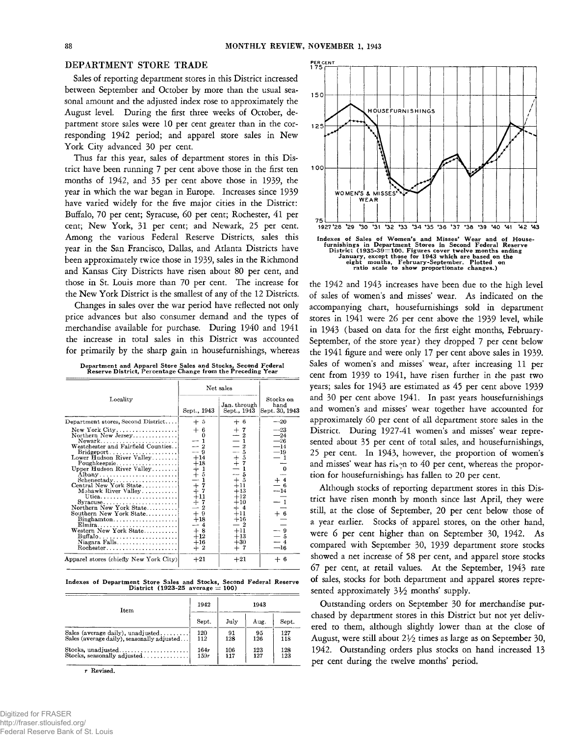# **DEPARTMENT STORE TRADE**

**Sales of reporting department stores in this District increased between September and October by more than the usual seasonal amount and the adjusted index rose to approximately the August level. During the first three weeks of October, department store sales were 10 per cent greater than in the corresponding 1942 period; and apparel store sales in New York City advanced 30 per cent.**

**Thus far this year, sales of department stores in this District have been running 7 per cent above those in the first ten months of 1942, and 35 per cent above those in 1939, the year in which the war began in Europe. Increases since 1939 have varied widely for the five major cities in the District: Buffalo, 70 per cent; Syracuse, 60 per cent; Rochester, 41 per cent; New York, 31 per cent; and Newark, 25 per cent. Among the various Federal Reserve Districts, sales this year in the San Francisco, Dallas, and Atlanta Districts have been approximately twice those in 1939, sales in the Richmond and Kansas City Districts have risen about 80 per cent, and those in St. Louis more than 70 per cent. The increase for the New York District is the smallest of any of the 12 Districts.**

**Changes in sales over the war period have reflected not only price advances but also consumer demand and the types of merchandise available for purchase. During 1940 and 1941 the increase in total sales in this District was accounted for primarily by the sharp gain in housefurnishings, whereas**

|  |  | Department and Apparel Store Sales and Stocks, Second Federal |
|--|--|---------------------------------------------------------------|
|  |  | Reserve District, Percentage Change from the Preceding Year   |

|                                                                                                                                                                                                                                                                                                                                                                                                                                                               | Net sales                                                                                                                                                                                                    |                                                                                                                                                                                             |                                                                                                 |
|---------------------------------------------------------------------------------------------------------------------------------------------------------------------------------------------------------------------------------------------------------------------------------------------------------------------------------------------------------------------------------------------------------------------------------------------------------------|--------------------------------------------------------------------------------------------------------------------------------------------------------------------------------------------------------------|---------------------------------------------------------------------------------------------------------------------------------------------------------------------------------------------|-------------------------------------------------------------------------------------------------|
| Locality                                                                                                                                                                                                                                                                                                                                                                                                                                                      | Sept., 1943                                                                                                                                                                                                  | Jan. through<br>Sept., 1943                                                                                                                                                                 | Stocks on<br>hand<br>Sept. 30, 1943                                                             |
| Department stores, Second District                                                                                                                                                                                                                                                                                                                                                                                                                            | $+5$                                                                                                                                                                                                         | $+6$                                                                                                                                                                                        | $-20$                                                                                           |
| New York City<br>Northern New Jersey<br>Newark<br>Westchester and Fairfield Counties<br>Bridgeport<br>Lower Hudson River Valley<br>Poughkeepsie<br>Upper Hudson River Valley<br>Schenectady<br>Central New York State<br>Mohawk River Valley<br>$Syracuse \ldots \ldots \ldots \ldots$<br>Northern New York State<br>Southern New York State<br>$\text{Binghamton} \dots \dots \dots \dots \dots \dots$<br>Western New York State<br>Buffalo<br>Niagara Falls | $+6$<br>1<br>$\equiv$ $\frac{2}{9}$<br>$+14$<br>$+18$<br>$+1$<br>$+5$<br>$-1$<br>$\ddagger$<br>7<br>7<br>$+11$<br>$+7$<br>$\boldsymbol{2}$<br>$\ddot{}$<br>9<br>$+18$<br>4<br>$+8$<br>$+12$<br>$+16$<br>$+2$ | $+7$<br>$-2$<br>$ \bar{2}$<br>$-4$<br>$-4$<br>$+4$<br>$-4$<br>$-4$<br>$+1$<br>$+1$<br>$+1$<br>$+13$<br>$+12$<br>$+10$<br>$+4$<br>$+11$<br>$+16$<br>$-~2$<br>$+11$<br>$+13$<br>$+30$<br>$+7$ | $-23$<br>$-24$<br>$-26$<br>$-14$<br>$-19$<br>0<br>$\frac{+}{-}$ 4<br>- 6<br>- 9<br>- 5<br>$-16$ |
| Apparel stores (chiefly New York City)                                                                                                                                                                                                                                                                                                                                                                                                                        | $+21$                                                                                                                                                                                                        | $+21$                                                                                                                                                                                       | $+6$                                                                                            |

**Indexes of Department Store Sales and Stocks, Second Federal Reserve District (1923-25 average =** 100**)**

| Item                                       | 1942  | 1943 |      |       |
|--------------------------------------------|-------|------|------|-------|
|                                            | Sept. | July | Aug. | Sept. |
| Sales (average daily), unadjusted          | 120   | 91   | 95   | 127   |
| Sales (average daily), seasonally adjusted | 112   | 128  | 126  | 118   |
| Stocks, unadjusted                         | 164r  | 106  | 123  | 128   |
| Stocks, seasonally adjusted                | 159r  | 117  | 127  | 123   |

**r Revised.**



**the 1942 and 1943 increases have been due to the high level of sales of women's and misses' wear. As indicated on the accompanying chart, housefurnishings sold in department stores in 1941 were 26 per cent above the 1939 level, while in 1943 (based on data for the first eight months, February-September, of the store year) they dropped 7 per cent below the 1941 figure and were only 17 per cent above sales in 1939. Sales of women's and misses' wear, after increasing 11 per cent from 1939 to 1941, have risen further in the past two years; sales for 1943 are estimated as 45 per cent above 1939 and 30 per cent above 1941. In past years housefurnishings and women's and misses' wear together have accounted for approximately 60 per cent of all department store sales in the District. During 1927-41 women's and misses' wear represented about 35 per cent of total sales, and housefurnishings, 25 per cent. In 1943, however, the proportion of women's** and misses' wear has ri<sub>s</sub><sup>n</sup> to 40 per cent, whereas the propor**tion for housefurnishings has fallen to 20 per cent.**

**Although stocks of reporting department stores in this District have risen month by month since last April, they were still, at the close of September, 20 per cent below those of a year earlier. Stocks of apparel stores, on the other hand, were 6 per cent higher than on September 30, 1942. As compared with September 30, 1939 department store stocks showed a net increase of 58 per cent, and apparel store stocks 67 per cent, at retail values. At the September, 1943 rate of sales, stocks for both department and apparel stores repre**sented approximately  $3\frac{1}{2}$  months' supply.

**Outstanding orders on September 30 for merchandise purchased by department stores in this District but not yet delivered to them, although slightly lower than at the close of August, were still about** *2Vi* **times as large as on September 30, 1942. Outstanding orders plus stocks on hand increased 13 per cent during the twelve months' period.**